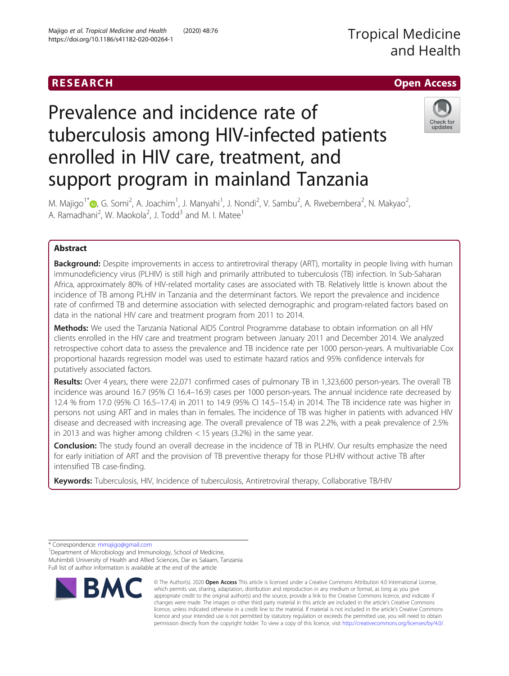## RESEARCH **RESEARCH CHANNEL CONTROL**

# Tropical Medicine and Health

# Prevalence and incidence rate of tuberculosis among HIV-infected patients enrolled in HIV care, treatment, and support program in mainland Tanzania



M. Majigo<sup>1\*</sup>®[,](http://orcid.org/0000-0003-3726-2816) G. Somi<sup>2</sup>, A. Joachim<sup>1</sup>, J. Manyahi<sup>1</sup>, J. Nondi<sup>2</sup>, V. Sambu<sup>2</sup>, A. Rwebembera<sup>2</sup>, N. Makyao<sup>2</sup> .<br>, A. Ramadhani<sup>2</sup>, W. Maokola<sup>2</sup>, J. Todd<sup>3</sup> and M. I. Matee<sup>1</sup>

### Abstract

**Background:** Despite improvements in access to antiretroviral therapy (ART), mortality in people living with human immunodeficiency virus (PLHIV) is still high and primarily attributed to tuberculosis (TB) infection. In Sub-Saharan Africa, approximately 80% of HIV-related mortality cases are associated with TB. Relatively little is known about the incidence of TB among PLHIV in Tanzania and the determinant factors. We report the prevalence and incidence rate of confirmed TB and determine association with selected demographic and program-related factors based on data in the national HIV care and treatment program from 2011 to 2014.

Methods: We used the Tanzania National AIDS Control Programme database to obtain information on all HIV clients enrolled in the HIV care and treatment program between January 2011 and December 2014. We analyzed retrospective cohort data to assess the prevalence and TB incidence rate per 1000 person-years. A multivariable Cox proportional hazards regression model was used to estimate hazard ratios and 95% confidence intervals for putatively associated factors.

Results: Over 4 years, there were 22,071 confirmed cases of pulmonary TB in 1,323,600 person-years. The overall TB incidence was around 16.7 (95% CI 16.4–16.9) cases per 1000 person-years. The annual incidence rate decreased by 12.4 % from 17.0 (95% CI 16.5–17.4) in 2011 to 14.9 (95% CI 14.5–15.4) in 2014. The TB incidence rate was higher in persons not using ART and in males than in females. The incidence of TB was higher in patients with advanced HIV disease and decreased with increasing age. The overall prevalence of TB was 2.2%, with a peak prevalence of 2.5% in 2013 and was higher among children < 15 years (3.2%) in the same year.

**Conclusion:** The study found an overall decrease in the incidence of TB in PLHIV. Our results emphasize the need for early initiation of ART and the provision of TB preventive therapy for those PLHIV without active TB after intensified TB case-finding.

Keywords: Tuberculosis, HIV, Incidence of tuberculosis, Antiretroviral therapy, Collaborative TB/HIV

\* Correspondence: [mmajigo@gmail.com](mailto:mmajigo@gmail.com) <sup>1</sup>

<sup>1</sup> Department of Microbiology and Immunology, School of Medicine, Muhimbili University of Health and Allied Sciences, Dar es Salaam, Tanzania





© The Author(s). 2020 Open Access This article is licensed under a Creative Commons Attribution 4.0 International License, which permits use, sharing, adaptation, distribution and reproduction in any medium or format, as long as you give appropriate credit to the original author(s) and the source, provide a link to the Creative Commons licence, and indicate if changes were made. The images or other third party material in this article are included in the article's Creative Commons licence, unless indicated otherwise in a credit line to the material. If material is not included in the article's Creative Commons licence and your intended use is not permitted by statutory regulation or exceeds the permitted use, you will need to obtain permission directly from the copyright holder. To view a copy of this licence, visit [http://creativecommons.org/licenses/by/4.0/.](http://creativecommons.org/licenses/by/4.0/)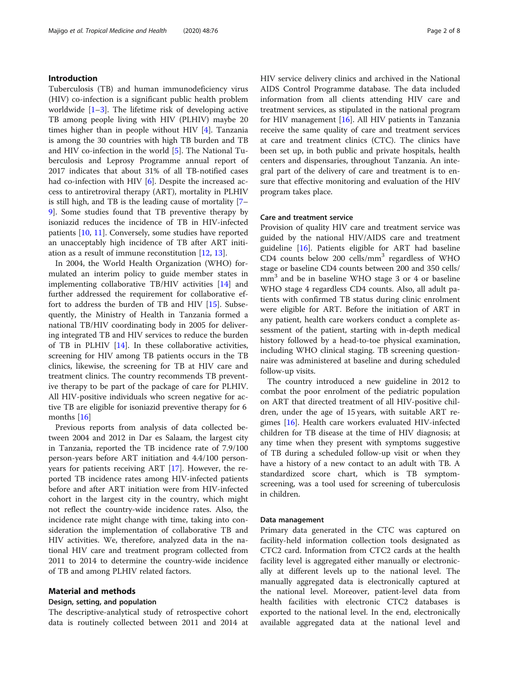#### Introduction

Tuberculosis (TB) and human immunodeficiency virus (HIV) co-infection is a significant public health problem worldwide  $[1-3]$  $[1-3]$  $[1-3]$  $[1-3]$  $[1-3]$ . The lifetime risk of developing active TB among people living with HIV (PLHIV) maybe 20 times higher than in people without HIV [[4\]](#page-6-0). Tanzania is among the 30 countries with high TB burden and TB and HIV co-infection in the world [\[5](#page-6-0)]. The National Tuberculosis and Leprosy Programme annual report of 2017 indicates that about 31% of all TB-notified cases had co-infection with HIV [[6\]](#page-6-0). Despite the increased access to antiretroviral therapy (ART), mortality in PLHIV is still high, and TB is the leading cause of mortality [[7](#page-6-0)– [9\]](#page-6-0). Some studies found that TB preventive therapy by isoniazid reduces the incidence of TB in HIV-infected patients [[10,](#page-6-0) [11\]](#page-6-0). Conversely, some studies have reported an unacceptably high incidence of TB after ART initiation as a result of immune reconstitution [[12,](#page-6-0) [13\]](#page-6-0).

In 2004, the World Health Organization (WHO) formulated an interim policy to guide member states in implementing collaborative TB/HIV activities [[14](#page-6-0)] and further addressed the requirement for collaborative effort to address the burden of TB and HIV [\[15](#page-6-0)]. Subsequently, the Ministry of Health in Tanzania formed a national TB/HIV coordinating body in 2005 for delivering integrated TB and HIV services to reduce the burden of TB in PLHIV [\[14](#page-6-0)]. In these collaborative activities, screening for HIV among TB patients occurs in the TB clinics, likewise, the screening for TB at HIV care and treatment clinics. The country recommends TB preventive therapy to be part of the package of care for PLHIV. All HIV-positive individuals who screen negative for active TB are eligible for isoniazid preventive therapy for 6 months [[16\]](#page-6-0)

Previous reports from analysis of data collected between 2004 and 2012 in Dar es Salaam, the largest city in Tanzania, reported the TB incidence rate of 7.9/100 person-years before ART initiation and 4.4/100 personyears for patients receiving ART [\[17](#page-6-0)]. However, the reported TB incidence rates among HIV-infected patients before and after ART initiation were from HIV-infected cohort in the largest city in the country, which might not reflect the country-wide incidence rates. Also, the incidence rate might change with time, taking into consideration the implementation of collaborative TB and HIV activities. We, therefore, analyzed data in the national HIV care and treatment program collected from 2011 to 2014 to determine the country-wide incidence of TB and among PLHIV related factors.

#### Material and methods

#### Design, setting, and population

The descriptive-analytical study of retrospective cohort data is routinely collected between 2011 and 2014 at HIV service delivery clinics and archived in the National AIDS Control Programme database. The data included information from all clients attending HIV care and treatment services, as stipulated in the national program for HIV management [[16\]](#page-6-0). All HIV patients in Tanzania receive the same quality of care and treatment services at care and treatment clinics (CTC). The clinics have been set up, in both public and private hospitals, health centers and dispensaries, throughout Tanzania. An integral part of the delivery of care and treatment is to ensure that effective monitoring and evaluation of the HIV program takes place.

#### Care and treatment service

Provision of quality HIV care and treatment service was guided by the national HIV/AIDS care and treatment guideline [[16](#page-6-0)]. Patients eligible for ART had baseline CD4 counts below 200 cells/ $mm<sup>3</sup>$  regardless of WHO stage or baseline CD4 counts between 200 and 350 cells/ mm<sup>3</sup> and be in baseline WHO stage 3 or 4 or baseline WHO stage 4 regardless CD4 counts. Also, all adult patients with confirmed TB status during clinic enrolment were eligible for ART. Before the initiation of ART in any patient, health care workers conduct a complete assessment of the patient, starting with in-depth medical history followed by a head-to-toe physical examination, including WHO clinical staging. TB screening questionnaire was administered at baseline and during scheduled follow-up visits.

The country introduced a new guideline in 2012 to combat the poor enrolment of the pediatric population on ART that directed treatment of all HIV-positive children, under the age of 15 years, with suitable ART regimes [\[16](#page-6-0)]. Health care workers evaluated HIV-infected children for TB disease at the time of HIV diagnosis; at any time when they present with symptoms suggestive of TB during a scheduled follow-up visit or when they have a history of a new contact to an adult with TB. A standardized score chart, which is TB symptomscreening, was a tool used for screening of tuberculosis in children.

#### Data management

Primary data generated in the CTC was captured on facility-held information collection tools designated as CTC2 card. Information from CTC2 cards at the health facility level is aggregated either manually or electronically at different levels up to the national level. The manually aggregated data is electronically captured at the national level. Moreover, patient-level data from health facilities with electronic CTC2 databases is exported to the national level. In the end, electronically available aggregated data at the national level and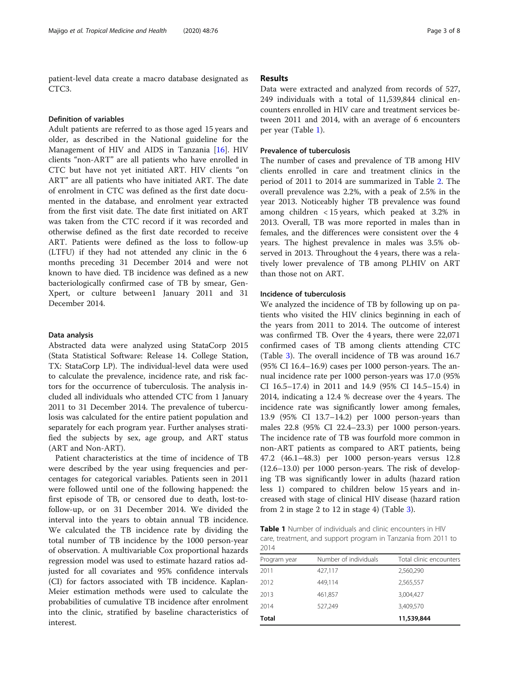patient-level data create a macro database designated as CTC3.

#### Definition of variables

Adult patients are referred to as those aged 15 years and older, as described in the National guideline for the Management of HIV and AIDS in Tanzania [\[16](#page-6-0)]. HIV clients "non-ART" are all patients who have enrolled in CTC but have not yet initiated ART. HIV clients "on ART" are all patients who have initiated ART. The date of enrolment in CTC was defined as the first date documented in the database, and enrolment year extracted from the first visit date. The date first initiated on ART was taken from the CTC record if it was recorded and otherwise defined as the first date recorded to receive ART. Patients were defined as the loss to follow-up (LTFU) if they had not attended any clinic in the 6 months preceding 31 December 2014 and were not known to have died. TB incidence was defined as a new bacteriologically confirmed case of TB by smear, Gen-Xpert, or culture between1 January 2011 and 31 December 2014.

#### Data analysis

Abstracted data were analyzed using StataCorp 2015 (Stata Statistical Software: Release 14. College Station, TX: StataCorp LP). The individual-level data were used to calculate the prevalence, incidence rate, and risk factors for the occurrence of tuberculosis. The analysis included all individuals who attended CTC from 1 January 2011 to 31 December 2014. The prevalence of tuberculosis was calculated for the entire patient population and separately for each program year. Further analyses stratified the subjects by sex, age group, and ART status (ART and Non-ART).

Patient characteristics at the time of incidence of TB were described by the year using frequencies and percentages for categorical variables. Patients seen in 2011 were followed until one of the following happened: the first episode of TB, or censored due to death, lost-tofollow-up, or on 31 December 2014. We divided the interval into the years to obtain annual TB incidence. We calculated the TB incidence rate by dividing the total number of TB incidence by the 1000 person-year of observation. A multivariable Cox proportional hazards regression model was used to estimate hazard ratios adjusted for all covariates and 95% confidence intervals (CI) for factors associated with TB incidence. Kaplan-Meier estimation methods were used to calculate the probabilities of cumulative TB incidence after enrolment into the clinic, stratified by baseline characteristics of interest.

#### Results

Data were extracted and analyzed from records of 527, 249 individuals with a total of 11,539,844 clinical encounters enrolled in HIV care and treatment services between 2011 and 2014, with an average of 6 encounters per year (Table 1).

#### Prevalence of tuberculosis

The number of cases and prevalence of TB among HIV clients enrolled in care and treatment clinics in the period of 2011 to 2014 are summarized in Table [2.](#page-3-0) The overall prevalence was 2.2%, with a peak of 2.5% in the year 2013. Noticeably higher TB prevalence was found among children < 15 years, which peaked at 3.2% in 2013. Overall, TB was more reported in males than in females, and the differences were consistent over the 4 years. The highest prevalence in males was 3.5% observed in 2013. Throughout the 4 years, there was a relatively lower prevalence of TB among PLHIV on ART than those not on ART.

#### Incidence of tuberculosis

We analyzed the incidence of TB by following up on patients who visited the HIV clinics beginning in each of the years from 2011 to 2014. The outcome of interest was confirmed TB. Over the 4 years, there were 22,071 confirmed cases of TB among clients attending CTC (Table [3\)](#page-3-0). The overall incidence of TB was around 16.7 (95% CI 16.4–16.9) cases per 1000 person-years. The annual incidence rate per 1000 person-years was 17.0 (95% CI 16.5–17.4) in 2011 and 14.9 (95% CI 14.5–15.4) in 2014, indicating a 12.4 % decrease over the 4 years. The incidence rate was significantly lower among females, 13.9 (95% CI 13.7–14.2) per 1000 person-years than males 22.8 (95% CI 22.4–23.3) per 1000 person-years. The incidence rate of TB was fourfold more common in non-ART patients as compared to ART patients, being 47.2 (46.1–48.3) per 1000 person-years versus 12.8 (12.6–13.0) per 1000 person-years. The risk of developing TB was significantly lower in adults (hazard ration less 1) compared to children below 15 years and increased with stage of clinical HIV disease (hazard ration from 2 in stage 2 to 12 in stage 4) (Table [3\)](#page-3-0).

Table 1 Number of individuals and clinic encounters in HIV care, treatment, and support program in Tanzania from 2011 to 2014

| Program year | Number of individuals | Total clinic encounters |
|--------------|-----------------------|-------------------------|
| 2011         | 427,117               | 2,560,290               |
| 2012         | 449,114               | 2,565,557               |
| 2013         | 461,857               | 3,004,427               |
| 2014         | 527,249               | 3,409,570               |
| <b>Total</b> |                       | 11,539,844              |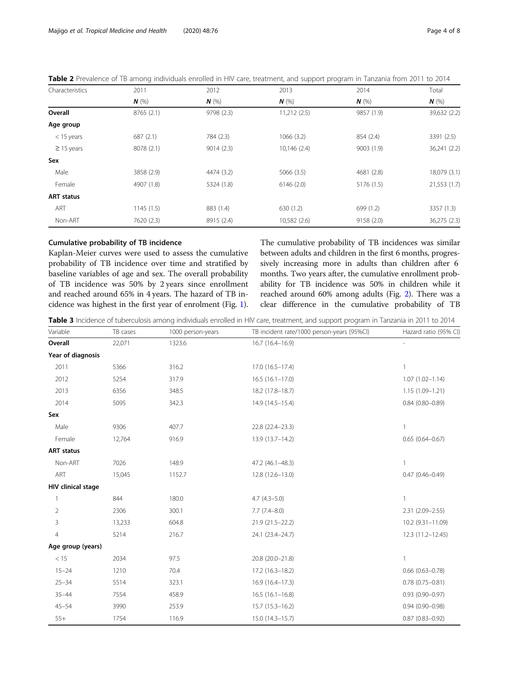| Characteristics   | 2011<br>$N$ (%) | 2012<br>$N$ (%) | 2013<br>$N$ (%) | 2014<br>$N$ (%) | Total<br>$N$ (%) |
|-------------------|-----------------|-----------------|-----------------|-----------------|------------------|
|                   |                 |                 |                 |                 |                  |
| Age group         |                 |                 |                 |                 |                  |
| $<$ 15 years      | 687(2.1)        | 784 (2.3)       | 1066(3.2)       | 854 (2.4)       | 3391 (2.5)       |
| $\geq$ 15 years   | 8078 (2.1)      | 9014(2.3)       | 10,146 (2.4)    | 9003(1.9)       | 36,241 (2.2)     |
| Sex               |                 |                 |                 |                 |                  |
| Male              | 3858 (2.9)      | 4474 (3.2)      | 5066 (3.5)      | 4681 (2.8)      | 18,079 (3.1)     |
| Female            | 4907 (1.8)      | 5324 (1.8)      | 6146(2.0)       | 5176 (1.5)      | 21,553 (1.7)     |
| <b>ART status</b> |                 |                 |                 |                 |                  |
| ART               | 1145(1.5)       | 883 (1.4)       | 630(1.2)        | 699 (1.2)       | 3357 (1.3)       |
| Non-ART           | 7620 (2.3)      | 8915 (2.4)      | 10,582 (2.6)    | 9158(2.0)       | 36,275 (2.3)     |

<span id="page-3-0"></span>

|  | Table 2 Prevalence of TB among individuals enrolled in HIV care, treatment, and support program in Tanzania from 2011 to 2014 |
|--|-------------------------------------------------------------------------------------------------------------------------------|
|--|-------------------------------------------------------------------------------------------------------------------------------|

#### Cumulative probability of TB incidence

Kaplan-Meier curves were used to assess the cumulative probability of TB incidence over time and stratified by baseline variables of age and sex. The overall probability of TB incidence was 50% by 2 years since enrollment and reached around 65% in 4 years. The hazard of TB incidence was highest in the first year of enrolment (Fig. [1](#page-4-0)).

The cumulative probability of TB incidences was similar between adults and children in the first 6 months, progressively increasing more in adults than children after 6 months. Two years after, the cumulative enrollment probability for TB incidence was 50% in children while it reached around 60% among adults (Fig. [2](#page-4-0)). There was a clear difference in the cumulative probability of TB

Table 3 Incidence of tuberculosis among individuals enrolled in HIV care, treatment, and support program in Tanzania in 2011 to 2014

| Variable           | TB cases | 1000 person-years | TB incident rate/1000 person-years (95%Cl) | Hazard ratio (95% CI)  |
|--------------------|----------|-------------------|--------------------------------------------|------------------------|
| Overall            | 22,071   | 1323.6            | 16.7 (16.4-16.9)                           |                        |
| Year of diagnosis  |          |                   |                                            |                        |
| 2011               | 5366     | 316.2             | 17.0 (16.5-17.4)                           | $\mathbf{1}$           |
| 2012               | 5254     | 317.9             | $16.5(16.1-17.0)$                          | $1.07(1.02 - 1.14)$    |
| 2013               | 6356     | 348.5             | 18.2 (17.8-18.7)                           | $1.15(1.09 - 1.21)$    |
| 2014               | 5095     | 342.3             | 14.9 (14.5-15.4)                           | $0.84(0.80 - 0.89)$    |
| Sex                |          |                   |                                            |                        |
| Male               | 9306     | 407.7             | 22.8 (22.4-23.3)                           | $\overline{1}$         |
| Female             | 12,764   | 916.9             | 13.9 (13.7-14.2)                           | $0.65(0.64 - 0.67)$    |
| <b>ART status</b>  |          |                   |                                            |                        |
| Non-ART            | 7026     | 148.9             | 47.2 (46.1-48.3)                           | $\mathbf{1}$           |
| ART                | 15,045   | 1152.7            | $12.8(12.6 - 13.0)$                        | $0.47(0.46 - 0.49)$    |
| HIV clinical stage |          |                   |                                            |                        |
|                    | 844      | 180.0             | $4.7(4.3-5.0)$                             | $\overline{1}$         |
| $\overline{2}$     | 2306     | 300.1             | $7.7(7.4 - 8.0)$                           | 2.31 (2.09-2.55)       |
| 3                  | 13,233   | 604.8             | 21.9 (21.5-22.2)                           | 10.2 (9.31-11.09)      |
| 4                  | 5214     | 216.7             | 24.1 (23.4-24.7)                           | 12.3 (11.2-12.45)      |
| Age group (years)  |          |                   |                                            |                        |
| < 15               | 2034     | 97.5              | 20.8 (20.0-21.8)                           | $\mathbf{1}$           |
| $15 - 24$          | 1210     | 70.4              | 17.2 (16.3-18.2)                           | $0.66$ $(0.63 - 0.78)$ |
| $25 - 34$          | 5514     | 323.1             | $16.9(16.4-17.3)$                          | $0.78(0.75 - 0.81)$    |
| $35 - 44$          | 7554     | 458.9             | $16.5(16.1-16.8)$                          | $0.93(0.90 - 0.97)$    |
| $45 - 54$          | 3990     | 253.9             | $15.7(15.3 - 16.2)$                        | $0.94(0.90 - 0.98)$    |
| $55+$              | 1754     | 116.9             | 15.0 (14.3-15.7)                           | $0.87(0.83 - 0.92)$    |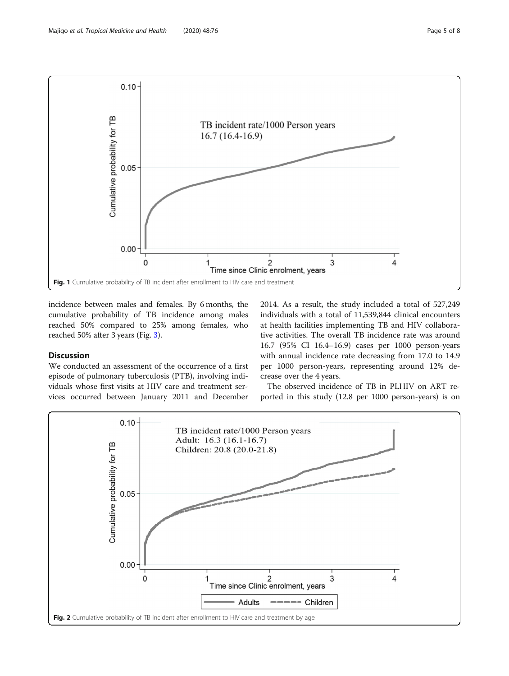<span id="page-4-0"></span>

incidence between males and females. By 6 months, the cumulative probability of TB incidence among males reached 50% compared to 25% among females, who reached 50% after 3 years (Fig. [3\)](#page-5-0).

#### Discussion

We conducted an assessment of the occurrence of a first episode of pulmonary tuberculosis (PTB), involving individuals whose first visits at HIV care and treatment services occurred between January 2011 and December 2014. As a result, the study included a total of 527,249 individuals with a total of 11,539,844 clinical encounters at health facilities implementing TB and HIV collaborative activities. The overall TB incidence rate was around 16.7 (95% CI 16.4–16.9) cases per 1000 person-years with annual incidence rate decreasing from 17.0 to 14.9 per 1000 person-years, representing around 12% decrease over the 4 years.

The observed incidence of TB in PLHIV on ART reported in this study (12.8 per 1000 person-years) is on

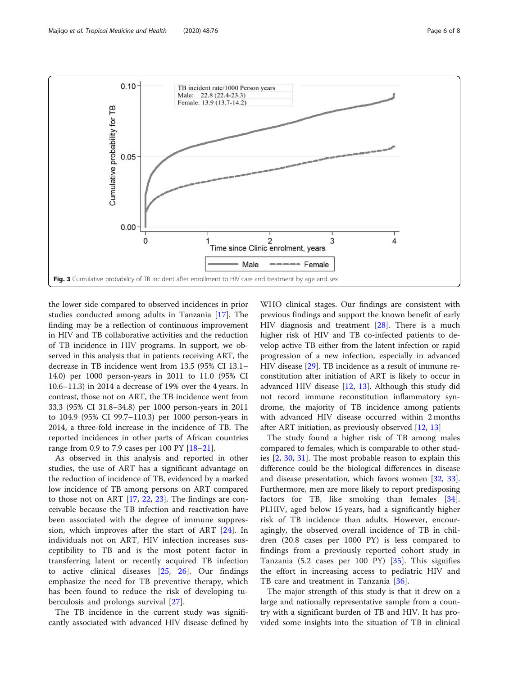<span id="page-5-0"></span>

the lower side compared to observed incidences in prior studies conducted among adults in Tanzania [[17\]](#page-6-0). The finding may be a reflection of continuous improvement in HIV and TB collaborative activities and the reduction of TB incidence in HIV programs. In support, we observed in this analysis that in patients receiving ART, the decrease in TB incidence went from 13.5 (95% CI 13.1– 14.0) per 1000 person-years in 2011 to 11.0 (95% CI 10.6–11.3) in 2014 a decrease of 19% over the 4 years. In contrast, those not on ART, the TB incidence went from 33.3 (95% CI 31.8–34.8) per 1000 person-years in 2011 to 104.9 (95% CI 99.7–110.3) per 1000 person-years in 2014, a three-fold increase in the incidence of TB. The reported incidences in other parts of African countries range from 0.9 to 7.9 cases per 100 PY [\[18](#page-6-0)–[21\]](#page-7-0).

As observed in this analysis and reported in other studies, the use of ART has a significant advantage on the reduction of incidence of TB, evidenced by a marked low incidence of TB among persons on ART compared to those not on ART [[17,](#page-6-0) [22](#page-7-0), [23\]](#page-7-0). The findings are conceivable because the TB infection and reactivation have been associated with the degree of immune suppression, which improves after the start of ART [\[24](#page-7-0)]. In individuals not on ART, HIV infection increases susceptibility to TB and is the most potent factor in transferring latent or recently acquired TB infection to active clinical diseases [[25,](#page-7-0) [26](#page-7-0)]. Our findings emphasize the need for TB preventive therapy, which has been found to reduce the risk of developing tuberculosis and prolongs survival [[27\]](#page-7-0).

The TB incidence in the current study was significantly associated with advanced HIV disease defined by

WHO clinical stages. Our findings are consistent with previous findings and support the known benefit of early HIV diagnosis and treatment [[28](#page-7-0)]. There is a much higher risk of HIV and TB co-infected patients to develop active TB either from the latent infection or rapid progression of a new infection, especially in advanced HIV disease [[29\]](#page-7-0). TB incidence as a result of immune reconstitution after initiation of ART is likely to occur in advanced HIV disease [[12,](#page-6-0) [13](#page-6-0)]. Although this study did not record immune reconstitution inflammatory syndrome, the majority of TB incidence among patients with advanced HIV disease occurred within 2 months after ART initiation, as previously observed [[12](#page-6-0), [13](#page-6-0)]

The study found a higher risk of TB among males compared to females, which is comparable to other studies [\[2,](#page-6-0) [30](#page-7-0), [31\]](#page-7-0). The most probable reason to explain this difference could be the biological differences in disease and disease presentation, which favors women [\[32](#page-7-0), [33](#page-7-0)]. Furthermore, men are more likely to report predisposing factors for TB, like smoking than females [\[34](#page-7-0)]. PLHIV, aged below 15 years, had a significantly higher risk of TB incidence than adults. However, encouragingly, the observed overall incidence of TB in children (20.8 cases per 1000 PY) is less compared to findings from a previously reported cohort study in Tanzania (5.2 cases per 100 PY) [[35\]](#page-7-0). This signifies the effort in increasing access to pediatric HIV and TB care and treatment in Tanzania [[36\]](#page-7-0).

The major strength of this study is that it drew on a large and nationally representative sample from a country with a significant burden of TB and HIV. It has provided some insights into the situation of TB in clinical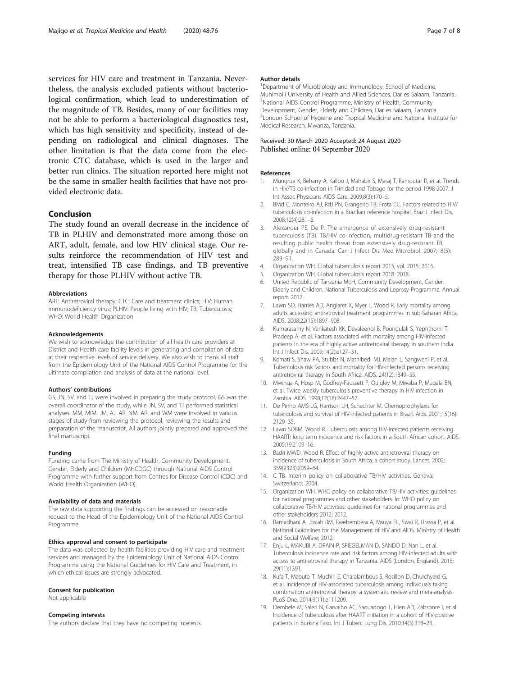<span id="page-6-0"></span>services for HIV care and treatment in Tanzania. Nevertheless, the analysis excluded patients without bacteriological confirmation, which lead to underestimation of the magnitude of TB. Besides, many of our facilities may not be able to perform a bacteriological diagnostics test, which has high sensitivity and specificity, instead of depending on radiological and clinical diagnoses. The other limitation is that the data come from the electronic CTC database, which is used in the larger and better run clinics. The situation reported here might not be the same in smaller health facilities that have not provided electronic data.

#### Conclusion

The study found an overall decrease in the incidence of TB in PLHIV and demonstrated more among those on ART, adult, female, and low HIV clinical stage. Our results reinforce the recommendation of HIV test and treat, intensified TB case findings, and TB preventive therapy for those PLHIV without active TB.

#### Abbreviations

ART: Antiretroviral therapy; CTC: Care and treatment clinics; HIV: Human immunodeficiency virus; PLHIV: People living with HIV; TB: Tuberculosis; WHO: World Health Organization

#### Acknowledgements

We wish to acknowledge the contribution of all health care providers at District and Health care facility levels in generating and compilation of data at their respective levels of service delivery. We also wish to thank all staff from the Epidemiology Unit of the National AIDS Control Programme for the ultimate compilation and analysis of data at the national level.

#### Authors' contributions

GS, JN, SV, and TJ were involved in preparing the study protocol. GS was the overall coordinator of the study, while JN, SV, and TJ performed statistical analyses. MM, MIM, JM, AJ, AR, NM, AR, and WM were involved in various stages of study from reviewing the protocol, reviewing the results and preparation of the manuscript. All authors jointly prepared and approved the final manuscript.

#### Funding

Funding came from The Ministry of Health, Community Development, Gender, Elderly and Children (MHCDGC) through National AIDS Control Programme with further support from Centres for Disease Control (CDC) and World Health Organization (WHO).

#### Availability of data and materials

The raw data supporting the findings can be accessed on reasonable request to the Head of the Epidemiology Unit of the National AIDS Control Programme.

#### Ethics approval and consent to participate

The data was collected by health facilities providing HIV care and treatment services and managed by the Epidemiology Unit of National AIDS Control Programme using the National Guidelines for HIV Care and Treatment, in which ethical issues are strongly advocated.

#### Consent for publication

Not applicable

#### Competing interests

The authors declare that they have no competing interests.

#### Author details

<sup>1</sup>Department of Microbiology and Immunology, School of Medicine, Muhimbili University of Health and Allied Sciences, Dar es Salaam, Tanzania. <sup>2</sup>National AIDS Control Programme, Ministry of Health, Community Development, Gender, Elderly and Children, Dar es Salaam, Tanzania. <sup>3</sup> London School of Hygiene and Tropical Medicine and National Institute for Medical Research, Mwanza, Tanzania.

#### Received: 30 March 2020 Accepted: 24 August 2020 Published online: 04 September 2020

#### References

- 1. Mungrue K, Beharry A, Kalloo J, Mahabir S, Maraj T, Ramoutar R, et al. Trends in HIV/TB co-infection in Trinidad and Tobago for the period 1998-2007. J Int Assoc Physicians AIDS Care. 2009;8(3):170–5.
- 2. BMd C, Monteiro AJ, RdJ PN, Grangeiro TB, Frota CC. Factors related to HIV/ tuberculosis co-infection in a Brazilian reference hospital. Braz J Infect Dis. 2008;12(4):281–6.
- 3. Alexander PE, De P. The emergence of extensively drug-resistant tuberculosis (TB): TB/HIV co-infection, multidrug-resistant TB and the resulting public health threat from extensively drug-resistant TB, globally and in Canada. Can J Infect Dis Med Microbiol. 2007;18(5): 289–91.
- 4. Organization WH. Global tuberculosis report 2015, vol. 2015; 2015.
- 5. Organization WH. Global tuberculosis report 2018. 2018.
- 6. United Republic of Tanzania MoH, Community Development, Gender, Elderly and Children. National Tuberculosis and Leprosy Programme. Annual report. 2017.
- 7. Lawn SD, Harries AD, Anglaret X, Myer L, Wood R. Early mortality among adults accessing antiretroviral treatment programmes in sub-Saharan Africa. AIDS. 2008;22(15):1897–908.
- 8. Kumarasamy N, Venkatesh KK, Devaleenol B, Poongulali S, Yephthomi T, Pradeep A, et al. Factors associated with mortality among HIV-infected patients in the era of highly active antiretroviral therapy in southern India. Int J Infect Dis. 2009;14(2):e127–31.
- 9. Komati S, Shaw PA, Stubbs N, Mathibedi MJ, Malan L, Sangweni P, et al. Tuberculosis risk factors and mortality for HIV-infected persons receiving antiretroviral therapy in South Africa. AIDS. 24(12):1849–55.
- 10. Mwinga A, Hosp M, Godfrey-Faussett P, Quigley M, Mwaba P, Mugala BN, et al. Twice weekly tuberculosis preventive therapy in HIV infection in Zambia. AIDS. 1998;12(18):2447–57.
- 11. De Pinho AMS-LG, Harrison LH, Schechter M. Chemoprophylaxis for tuberculosis and survival of HIV-infected patients in Brazil. Aids. 2001;15(16): 2129–35.
- 12. Lawn SDBM, Wood R. Tuberculosis among HIV-infected patients receiving HAART: long term incidence and risk factors in a South African cohort. AIDS. 2005;19:2109–16.
- 13. Badri MWD, Wood R. Effect of highly active antiretroviral therapy on incidence of tuberculosis in South Africa: a cohort study. Lancet. 2002; 359(9323):2059–64.
- 14. C TB. Interim policy on collaborative TB/HIV activities. Geneva: Switzerland; 2004.
- 15. Organization WH. WHO policy on collaborative TB/HIV activities: guidelines for national programmes and other stakeholders. In: WHO policy on collaborative TB/HIV activities: guidelines for national programmes and other stakeholders 2012; 2012.
- 16. Ramadhani A, Josiah RM, Rwebembera A, Msuya EL, Swai R, Urassa P, et al. National Guidelines for the Management of HIV and AIDS. Ministry of Health and Social Welfare; 2012.
- 17. Enju L, MAKUBI A, DRAIN P, SPIEGELMAN D, SANDO D, Nan L, et al. Tuberculosis incidence rate and risk factors among HIV-infected adults with access to antiretroviral therapy in Tanzania. AIDS (London, England). 2015; 29(11):1391.
- 18. Kufa T, Mabuto T, Muchiri E, Charalambous S, Rosillon D, Churchyard G, et al. Incidence of HIV-associated tuberculosis among individuals taking combination antiretroviral therapy: a systematic review and meta-analysis. PLoS One. 2014;9(11):e111209.
- 19. Dembele M, Saleri N, Carvalho AC, Saouadogo T, Hien AD, Zabsonre I, et al. Incidence of tuberculosis after HAART initiation in a cohort of HIV-positive patients in Burkina Faso. Int J Tuberc Lung Dis. 2010;14(3):318–23.